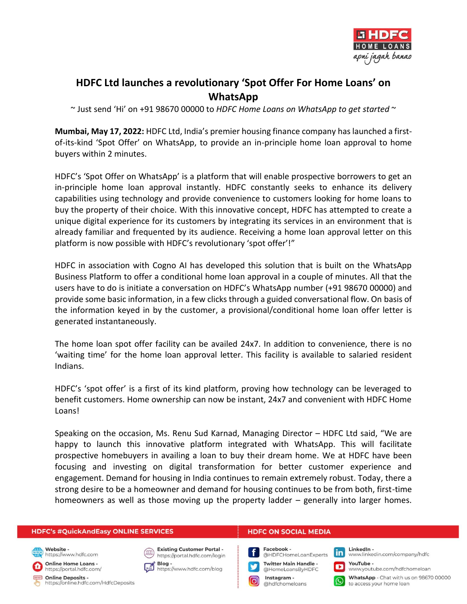

## **HDFC Ltd launches a revolutionary 'Spot Offer For Home Loans' on WhatsApp**

~ Just send 'Hi' on +91 98670 00000 to *HDFC Home Loans on WhatsApp to get started* ~

**Mumbai, May 17, 2022:** HDFC Ltd, India's premier housing finance company has launched a firstof-its-kind 'Spot Offer' on WhatsApp, to provide an in-principle home loan approval to home buyers within 2 minutes.

HDFC's 'Spot Offer on WhatsApp' is a platform that will enable prospective borrowers to get an in-principle home loan approval instantly. HDFC constantly seeks to enhance its delivery capabilities using technology and provide convenience to customers looking for home loans to buy the property of their choice. With this innovative concept, HDFC has attempted to create a unique digital experience for its customers by integrating its services in an environment that is already familiar and frequented by its audience. Receiving a home loan approval letter on this platform is now possible with HDFC's revolutionary 'spot offer'!"

HDFC in association with Cogno AI has developed this solution that is built on the WhatsApp Business Platform to offer a conditional home loan approval in a couple of minutes. All that the users have to do is initiate a conversation on HDFC's WhatsApp number (+91 98670 00000) and provide some basic information, in a few clicks through a guided conversational flow. On basis of the information keyed in by the customer, a provisional/conditional home loan offer letter is generated instantaneously.

The home loan spot offer facility can be availed 24x7. In addition to convenience, there is no 'waiting time' for the home loan approval letter. This facility is available to salaried resident Indians.

HDFC's 'spot offer' is a first of its kind platform, proving how technology can be leveraged to benefit customers. Home ownership can now be instant, 24x7 and convenient with HDFC Home Loans!

Speaking on the occasion, Ms. Renu Sud Karnad, Managing Director – HDFC Ltd said, "We are happy to launch this innovative platform integrated with WhatsApp. This will facilitate prospective homebuyers in availing a loan to buy their dream home. We at HDFC have been focusing and investing on digital transformation for better customer experience and engagement. Demand for housing in India continues to remain extremely robust. Today, there a strong desire to be a homeowner and demand for housing continues to be from both, first-time homeowners as well as those moving up the property ladder – generally into larger homes.

| <b>HDFC's #QuickAndEasy ONLINE SERVICES</b>                              |                                                             | <b>HDFC ON SOCIAL MEDIA</b>                                                                         |  |  |
|--------------------------------------------------------------------------|-------------------------------------------------------------|-----------------------------------------------------------------------------------------------------|--|--|
| Website -<br>https://www.hdfc.com                                        | Existing Customer Portal -<br>https://portal.hdfc.com/login | Facebook -<br>@HDFCHomeLoanExperts <b>In LinkedIn</b> -<br>www.linkedin.com/company/hdfc            |  |  |
| Online Home Loans -<br>https://portal.hdfc.com/                          | Blog -<br>https://www.hdfc.com/blog                         | Twitter Main Handle -<br>@HomeLoansByHDFC<br>YouTube -<br>www.youtube.com/hdfchomeloan              |  |  |
| <b>Concern Online Deposits -</b><br>https://online.hdfc.com/HdfcDeposits |                                                             | WhatsApp - Chat with us on 98670 00000<br>to access your home loan<br>Instagram -<br>ahdfchomeloans |  |  |